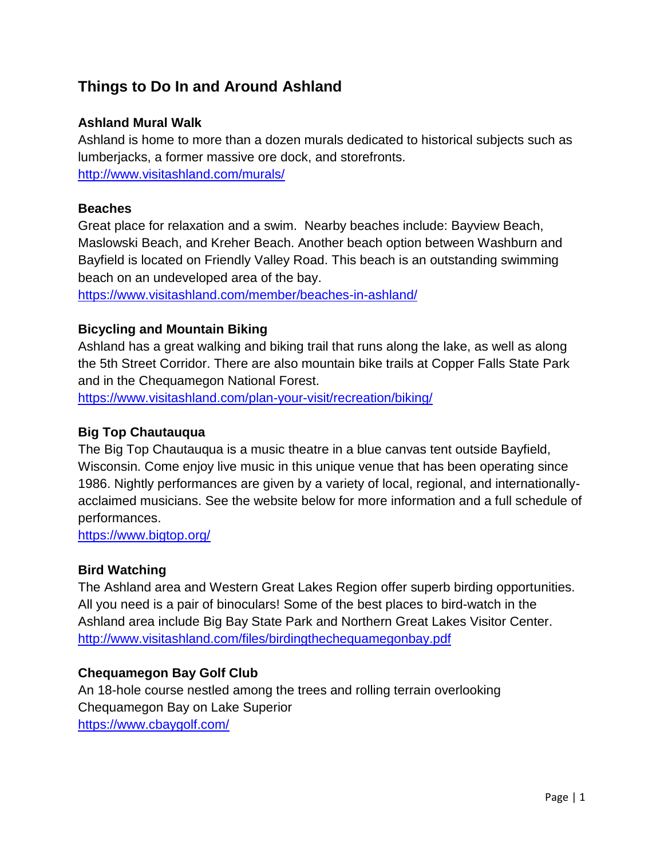# **Things to Do In and Around Ashland**

# **Ashland Mural Walk**

Ashland is home to more than a dozen murals dedicated to historical subjects such as lumberjacks, a former massive ore dock, and storefronts. <http://www.visitashland.com/murals/>

#### **Beaches**

Great place for relaxation and a swim. Nearby beaches include: Bayview Beach, Maslowski Beach, and Kreher Beach. Another beach option between Washburn and Bayfield is located on Friendly Valley Road. This beach is an outstanding swimming beach on an undeveloped area of the bay.

<https://www.visitashland.com/member/beaches-in-ashland/>

# **Bicycling and Mountain Biking**

Ashland has a great walking and biking trail that runs along the lake, as well as along the 5th Street Corridor. There are also mountain bike trails at Copper Falls State Park and in the Chequamegon National Forest.

<https://www.visitashland.com/plan-your-visit/recreation/biking/>

#### **Big Top Chautauqua**

The Big Top Chautauqua is a music theatre in a blue canvas tent outside Bayfield, Wisconsin. Come enjoy live music in this unique venue that has been operating since 1986. Nightly performances are given by a variety of local, regional, and internationallyacclaimed musicians. See the website below for more information and a full schedule of performances.

<https://www.bigtop.org/>

#### **Bird Watching**

The Ashland area and Western Great Lakes Region offer superb birding opportunities. All you need is a pair of binoculars! Some of the best places to bird-watch in the Ashland area include Big Bay State Park and Northern Great Lakes Visitor Center. <http://www.visitashland.com/files/birdingthechequamegonbay.pdf>

#### **Chequamegon Bay Golf Club**

An 18-hole course nestled among the trees and rolling terrain overlooking Chequamegon Bay on Lake Superior <https://www.cbaygolf.com/>